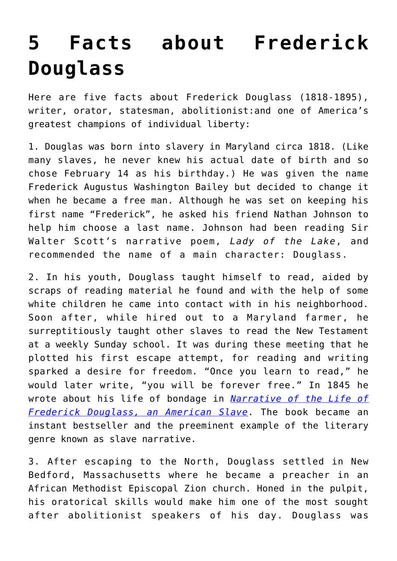## **[5 Facts about Frederick](https://intellectualtakeout.org/2018/04/5-facts-about-frederick-douglass/) [Douglass](https://intellectualtakeout.org/2018/04/5-facts-about-frederick-douglass/)**

Here are five facts about Frederick Douglass (1818-1895), writer, orator, statesman, abolitionist:and one of America's greatest champions of individual liberty:

1. Douglas was born into slavery in Maryland circa 1818. (Like many slaves, he never knew his actual date of birth and so chose February 14 as his birthday.) He was given the name Frederick Augustus Washington Bailey but decided to change it when he became a free man. Although he was set on keeping his first name "Frederick", he asked his friend Nathan Johnson to help him choose a last name. Johnson had been reading Sir Walter Scott's narrative poem, *Lady of the Lake*, and recommended the name of a main character: Douglass.

2. In his youth, Douglass taught himself to read, aided by scraps of reading material he found and with the help of some white children he came into contact with in his neighborhood. Soon after, while hired out to a Maryland farmer, he surreptitiously taught other slaves to read the New Testament at a weekly Sunday school. It was during these meeting that he plotted his first escape attempt, for reading and writing sparked a desire for freedom. "Once you learn to read," he would later write, "you will be forever free." In 1845 he wrote about his life of bondage in *[Narrative of the Life of](http://a-fwd.com/asin-com=B0183DY0B0&sc=w) [Frederick Douglass, an American Slave](http://a-fwd.com/asin-com=B0183DY0B0&sc=w)*. The book became an instant bestseller and the preeminent example of the literary genre known as slave narrative.

3. After escaping to the North, Douglass settled in New Bedford, Massachusetts where he became a preacher in an African Methodist Episcopal Zion church. Honed in the pulpit, his oratorical skills would make him one of the most sought after abolitionist speakers of his day. Douglass was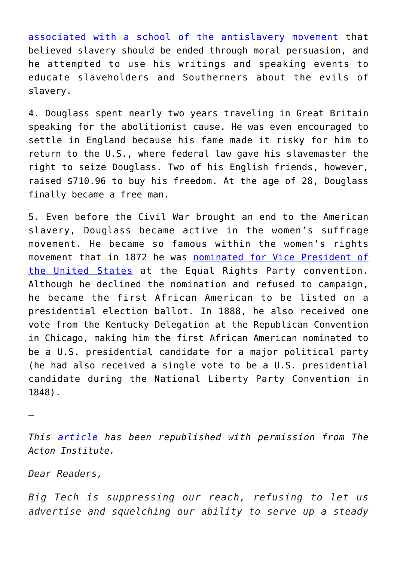[associated with a school of the antislavery movement](http://www.fdfi.org/fd3.html) that believed slavery should be ended through moral persuasion, and he attempted to use his writings and speaking events to educate slaveholders and Southerners about the evils of slavery.

4. Douglass spent nearly two years traveling in Great Britain speaking for the abolitionist cause. He was even encouraged to settle in England because his fame made it risky for him to return to the U.S., where federal law gave his slavemaster the right to seize Douglass. Two of his English friends, however, raised \$710.96 to buy his freedom. At the age of 28, Douglass finally became a free man.

5. Even before the Civil War brought an end to the American slavery, Douglass became active in the women's suffrage movement. He became so famous within the women's rights movement that in 1872 he was [nominated for Vice President of](http://nkaa.uky.edu/record.php?note_id=2950) [the United States](http://nkaa.uky.edu/record.php?note_id=2950) at the Equal Rights Party convention. Although he declined the nomination and refused to campaign, he became the first African American to be listed on a presidential election ballot. In 1888, he also received one vote from the Kentucky Delegation at the Republican Convention in Chicago, making him the first African American nominated to be a U.S. presidential candidate for a major political party (he had also received a single vote to be a U.S. presidential candidate during the National Liberty Party Convention in 1848).

—

*This [article](http://blog.acton.org/archives/91982-5-facts-about-frederick-douglass.html#at_pco=smlwn-1.0&at_si=5ae0c8533a7ad544&at_ab=per-2&at_pos=0&at_tot=1) has been republished with permission from The Acton Institute.*

*Dear Readers,*

*Big Tech is suppressing our reach, refusing to let us advertise and squelching our ability to serve up a steady*